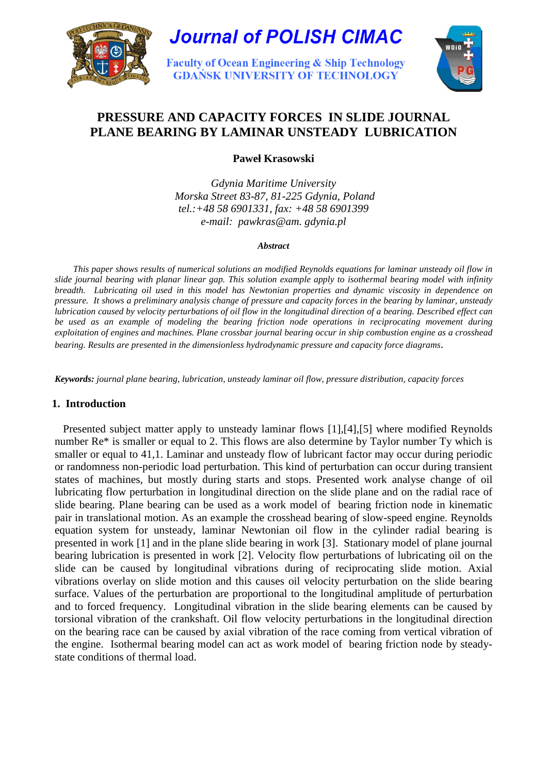



# **PRESSURE AND CAPACITY FORCES IN SLIDE JOURNAL PLANE BEARING BY LAMINAR UNSTEADY LUBRICATION**

**Paweł Krasowski** 

*Gdynia Maritime University Morska Street 83-87, 81-225 Gdynia, Poland tel.:+48 58 6901331, fax: +48 58 6901399 e-mail: pawkras@am. gdynia.pl* 

#### *Abstract*

 *This paper shows results of numerical solutions an modified Reynolds equations for laminar unsteady oil flow in slide journal bearing with planar linear gap. This solution example apply to isothermal bearing model with infinity breadth. Lubricating oil used in this model has Newtonian properties and dynamic viscosity in dependence on pressure. It shows a preliminary analysis change of pressure and capacity forces in the bearing by laminar, unsteady lubrication caused by velocity perturbations of oil flow in the longitudinal direction of a bearing. Described effect can be used as an example of modeling the bearing friction node operations in reciprocating movement during exploitation of engines and machines. Plane crossbar journal bearing occur in ship combustion engine as a crosshead bearing. Results are presented in the dimensionless hydrodynamic pressure and capacity force diagrams*.

*Keywords: journal plane bearing, lubrication, unsteady laminar oil flow, pressure distribution, capacity forces*

### **1. Introduction**

 Presented subject matter apply to unsteady laminar flows [1],[4],[5] where modified Reynolds number Re\* is smaller or equal to 2. This flows are also determine by Taylor number Ty which is smaller or equal to 41,1. Laminar and unsteady flow of lubricant factor may occur during periodic or randomness non-periodic load perturbation. This kind of perturbation can occur during transient states of machines, but mostly during starts and stops. Presented work analyse change of oil lubricating flow perturbation in longitudinal direction on the slide plane and on the radial race of slide bearing. Plane bearing can be used as a work model of bearing friction node in kinematic pair in translational motion. As an example the crosshead bearing of slow-speed engine. Reynolds equation system for unsteady, laminar Newtonian oil flow in the cylinder radial bearing is presented in work [1] and in the plane slide bearing in work [3]. Stationary model of plane journal bearing lubrication is presented in work [2]. Velocity flow perturbations of lubricating oil on the slide can be caused by longitudinal vibrations during of reciprocating slide motion. Axial vibrations overlay on slide motion and this causes oil velocity perturbation on the slide bearing surface. Values of the perturbation are proportional to the longitudinal amplitude of perturbation and to forced frequency. Longitudinal vibration in the slide bearing elements can be caused by torsional vibration of the crankshaft. Oil flow velocity perturbations in the longitudinal direction on the bearing race can be caused by axial vibration of the race coming from vertical vibration of the engine. Isothermal bearing model can act as work model of bearing friction node by steadystate conditions of thermal load.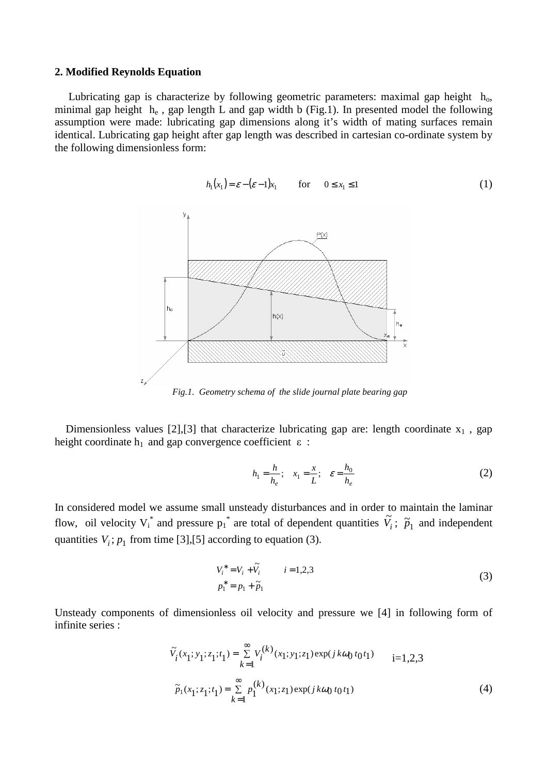#### **2. Modified Reynolds Equation**

Lubricating gap is characterize by following geometric parameters: maximal gap height  $h_0$ , minimal gap height  $h_e$ , gap length L and gap width b (Fig.1). In presented model the following assumption were made: lubricating gap dimensions along it's width of mating surfaces remain identical. Lubricating gap height after gap length was described in cartesian co-ordinate system by the following dimensionless form:



*Fig.1. Geometry schema of the slide journal plate bearing gap* 

Dimensionless values [2], [3] that characterize lubricating gap are: length coordinate  $x_1$ , gap height coordinate  $h_1$  and gap convergence coefficient  $\varepsilon$ :

$$
h_1 = \frac{h}{h_e}; \quad x_1 = \frac{x}{L}; \quad \varepsilon = \frac{h_0}{h_e}
$$
 (2)

In considered model we assume small unsteady disturbances and in order to maintain the laminar flow, oil velocity  $V_i^*$  and pressure  $p_i^*$  are total of dependent quantities  $\tilde{V}_i$ ;  $\tilde{p}_1$  and independent quantities  $V_i$ ;  $p_1$  from time [3],[5] according to equation (3).

$$
V_i^* = V_i + \tilde{V}_i \qquad i = 1, 2, 3
$$
  
\n
$$
p_1^* = p_1 + \tilde{p}_1 \qquad (3)
$$

Unsteady components of dimensionless oil velocity and pressure we [4] in following form of infinite series :

$$
\tilde{V}_i(x_1; y_1; z_1; t_1) = \sum_{k=1}^{\infty} V_i^{(k)}(x_1; y_1; z_1) \exp(j k \omega_0 t_0 t_1) \qquad i=1,2,3
$$
  

$$
\tilde{p}_1(x_1; z_1; t_1) = \sum_{k=1}^{\infty} p_1^{(k)}(x_1; z_1) \exp(j k \omega_0 t_0 t_1)
$$
 (4)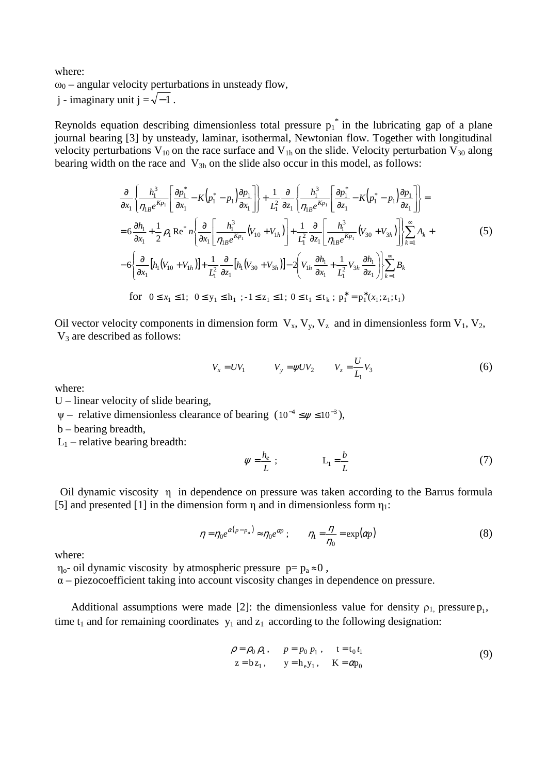where:  $\omega_0$  – angular velocity perturbations in unsteady flow, j - imaginary unit j =  $\sqrt{-1}$ .

Reynolds equation describing dimensionless total pressure  $p_1^*$  in the lubricating gap of a plane journal bearing [3] by unsteady, laminar, isothermal, Newtonian flow. Together with longitudinal velocity perturbations  $V_{10}$  on the race surface and  $V_{1h}$  on the slide. Velocity perturbation  $V_{30}$  along bearing width on the race and  $V_{3h}$  on the slide also occur in this model, as follows:

$$
\frac{\partial}{\partial x_1} \left\{ \frac{h_1^3}{\eta_{1B}e^{Kp_1}} \left[ \frac{\partial p_1^*}{\partial x_1} - K \left( p_1^* - p_1 \right) \frac{\partial p_1}{\partial x_1} \right] \right\} + \frac{1}{L_1^2} \frac{\partial}{\partial z_1} \left\{ \frac{h_1^3}{\eta_{1B}e^{Kp_1}} \left[ \frac{\partial p_1^*}{\partial z_1} - K \left( p_1^* - p_1 \right) \frac{\partial p_1}{\partial z_1} \right] \right\} =
$$
\n
$$
= 6 \frac{\partial h_1}{\partial x_1} + \frac{1}{2} \rho_1 \operatorname{Re}^* n \left\{ \frac{\partial}{\partial x_1} \left[ \frac{h_1^3}{\eta_{1B}e^{Kp_1}} (V_{10} + V_{1h}) \right] + \frac{1}{L_1^2} \frac{\partial}{\partial z_1} \left[ \frac{h_1^3}{\eta_{1B}e^{Kp_1}} (V_{30} + V_{3h}) \right] \right\} \sum_{k=1}^{\infty} A_k +
$$
\n
$$
- 6 \left\{ \frac{\partial}{\partial x_1} \left[ h_1 (V_{10} + V_{1h}) \right] + \frac{1}{L_1^2} \frac{\partial}{\partial z_1} \left[ h_1 (V_{30} + V_{3h}) \right] - 2 \left[ V_{1h} \frac{\partial h_1}{\partial x_1} + \frac{1}{L_1^2} V_{3h} \frac{\partial h_1}{\partial z_1} \right] \right\} \sum_{k=1}^{\infty} B_k
$$
\n
$$
\text{for } 0 \le x_1 \le 1; \ 0 \le y_1 \le h_1; \ -1 \le z_1 \le 1; \ 0 \le t_1 \le t_k; \ p_1^* = p_1^*(x_1; z_1; t_1)
$$

Oil vector velocity components in dimension form  $V_x$ ,  $V_y$ ,  $V_z$  and in dimensionless form  $V_1$ ,  $V_2$ ,  $V_3$  are described as follows:

$$
V_x = UV_1 \t V_y = \psi UV_2 \t V_z = \frac{U}{L_1} V_3 \t (6)
$$

where:

U – linear velocity of slide bearing,

 $\psi$  – relative dimensionless clearance of bearing  $(10^{-4} \leq \psi \leq 10^{-3})$ ,

b – bearing breadth,

 $L_1$  – relative bearing breadth:

$$
\psi = \frac{h_e}{L} \; ; \qquad L_1 = \frac{b}{L} \tag{7}
$$

 Oil dynamic viscosity η in dependence on pressure was taken according to the Barrus formula [5] and presented [1] in the dimension form  $\eta$  and in dimensionless form  $\eta_1$ :

$$
\eta = \eta_0 e^{\alpha(p - p_a)} \approx \eta_0 e^{\alpha p} \; ; \qquad \eta_1 = \frac{\eta}{\eta_0} = \exp(\alpha p) \tag{8}
$$

where:

 $\eta_{0}$ - oil dynamic viscosity by atmospheric pressure  $p = p_a \approx 0$ ,

 $\alpha$  – piezocoefficient taking into account viscosity changes in dependence on pressure.

Additional assumptions were made [2]: the dimensionless value for density  $\rho_1$ , pressure  $p_1$ , time  $t_1$  and for remaining coordinates  $y_1$  and  $z_1$  according to the following designation:

$$
\rho = \rho_0 \rho_1, \qquad p = p_0 \rho_1, \qquad t = t_0 t_1
$$
  
\n
$$
z = b z_1, \qquad y = h_e y_1, \qquad K = \alpha p_0
$$
\n(9)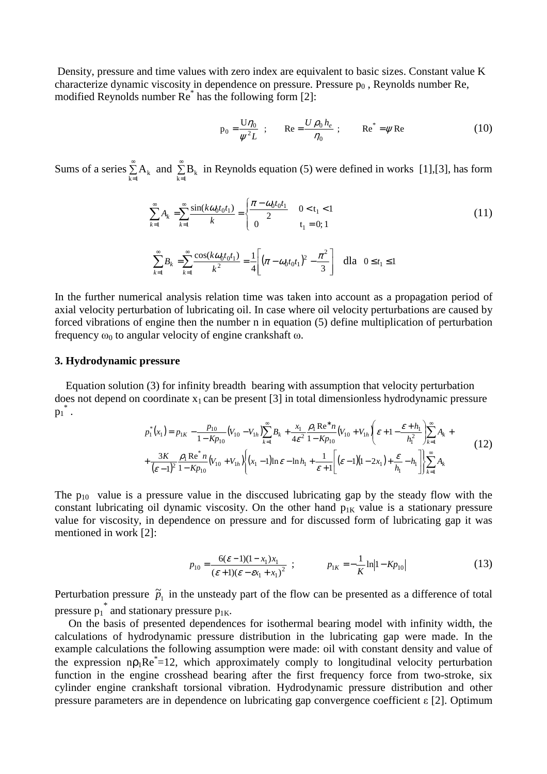Density, pressure and time values with zero index are equivalent to basic sizes. Constant value K characterize dynamic viscosity in dependence on pressure. Pressure  $p_0$ , Reynolds number Re, modified Reynolds number Re\* has the following form [2]:

$$
p_0 = \frac{U\eta_0}{\psi^2 L} \quad ; \qquad \text{Re} = \frac{U\rho_0 h_e}{\eta_0} \quad ; \qquad \text{Re}^* = \psi \text{Re}
$$
 (10)

Sums of a series  $\tilde{\Sigma}$  $\sum_{k=1}^{\infty} A_k$  and  $\sum_{k=1}^{\infty}$  $\sum_{k=1}$  B<sub>k</sub> in Reynolds equation (5) were defined in works [1],[3], has form

$$
\sum_{k=1}^{\infty} A_k = \sum_{k=1}^{\infty} \frac{\sin(k\omega_0 t_0 t_1)}{k} = \begin{cases} \frac{\pi - \omega_0 t_0 t_1}{2} & 0 < t_1 < 1 \\ 0 & t_1 = 0; 1 \end{cases} \tag{11}
$$

$$
\sum_{k=1}^{\infty} B_k = \sum_{k=1}^{\infty} \frac{\cos(k\omega_0 t_0 t_1)}{k^2} = \frac{1}{4} \left[ (\pi - \omega_0 t_0 t_1)^2 - \frac{\pi^2}{3} \right] \quad \text{dla} \quad 0 \le t_1 \le 1
$$

In the further numerical analysis relation time was taken into account as a propagation period of axial velocity perturbation of lubricating oil. In case where oil velocity perturbations are caused by forced vibrations of engine then the number n in equation (5) define multiplication of perturbation frequency  $ω_0$  to angular velocity of engine crankshaft  $ω$ .

#### **3. Hydrodynamic pressure**

 Equation solution (3) for infinity breadth bearing with assumption that velocity perturbation does not depend on coordinate  $x_1$  can be present [3] in total dimensionless hydrodynamic pressure  $p_1^*$  .

$$
p_1^*(x_1) = p_{1K} - \frac{p_{10}}{1 - Kp_{10}} (V_{10} - V_{1h}) \sum_{k=1}^{\infty} B_k + \frac{x_1}{4\varepsilon^2} \frac{\rho_1 \operatorname{Re}^* n}{1 - Kp_{10}} (V_{10} + V_{1h}) \left( \varepsilon + 1 - \frac{\varepsilon + h_1}{h_1^2} \right) \sum_{k=1}^{\infty} A_k + \frac{3K}{(\varepsilon - 1)^2} \frac{\rho_1 \operatorname{Re}^* n}{1 - Kp_{10}} (V_{10} + V_{1h}) \left( (x_1 - 1) \ln \varepsilon - \ln h_1 + \frac{1}{\varepsilon + 1} \left[ (\varepsilon - 1)(1 - 2x_1) + \frac{\varepsilon}{h_1} - h_1 \right] \right) \sum_{k=1}^{\infty} A_k
$$
\n(12)

The  $p_{10}$  value is a pressure value in the disccused lubricating gap by the steady flow with the constant lubricating oil dynamic viscosity. On the other hand  $p_{1K}$  value is a stationary pressure value for viscosity, in dependence on pressure and for discussed form of lubricating gap it was mentioned in work [2]:

$$
p_{10} = \frac{6(\varepsilon - 1)(1 - x_1)x_1}{(\varepsilon + 1)(\varepsilon - \varepsilon x_1 + x_1)^2} ; \qquad p_{1K} = -\frac{1}{K} \ln |1 - K p_{10}| \tag{13}
$$

Perturbation pressure  $\tilde{p}_1$  in the unsteady part of the flow can be presented as a difference of total pressure  $p_1^*$  and stationary pressure  $p_{1K}$ .

 On the basis of presented dependences for isothermal bearing model with infinity width, the calculations of hydrodynamic pressure distribution in the lubricating gap were made. In the example calculations the following assumption were made: oil with constant density and value of the expression  $np_1Re^{\dagger}=12$ , which approximately comply to longitudinal velocity perturbation function in the engine crosshead bearing after the first frequency force from two-stroke, six cylinder engine crankshaft torsional vibration. Hydrodynamic pressure distribution and other pressure parameters are in dependence on lubricating gap convergence coefficient ε [2]. Optimum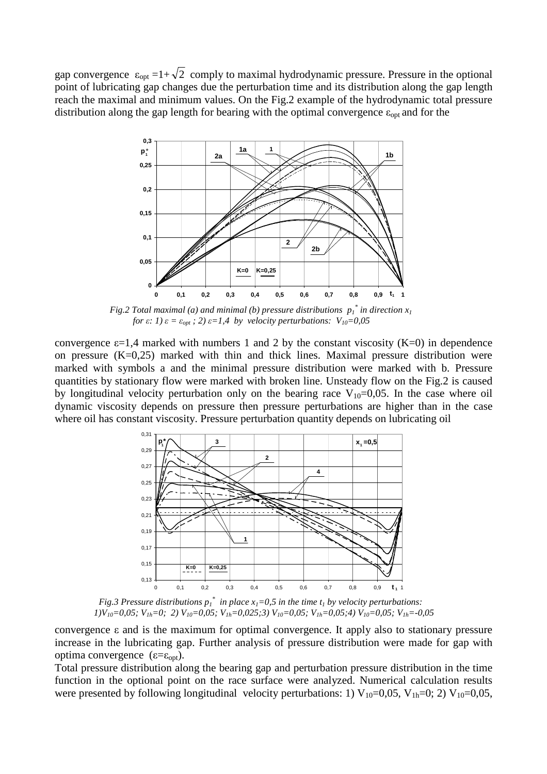gap convergence  $\varepsilon_{opt} = 1 + \sqrt{2}$  comply to maximal hydrodynamic pressure. Pressure in the optional point of lubricating gap changes due the perturbation time and its distribution along the gap length reach the maximal and minimum values. On the Fig.2 example of the hydrodynamic total pressure distribution along the gap length for bearing with the optimal convergence  $\varepsilon_{opt}$  and for the



*Fig.2 Total maximal (a) and minimal (b) pressure distributions*  $p_1^*$  *in direction*  $x_1$ *for*  $\varepsilon$ *: 1)*  $\varepsilon = \varepsilon_{opt}$ *;* 2)  $\varepsilon = 1.4$  *by velocity perturbations:*  $V_{10} = 0.05$ 

convergence  $\varepsilon$ =1,4 marked with numbers 1 and 2 by the constant viscosity (K=0) in dependence on pressure  $(K=0,25)$  marked with thin and thick lines. Maximal pressure distribution were marked with symbols a and the minimal pressure distribution were marked with b. Pressure quantities by stationary flow were marked with broken line. Unsteady flow on the Fig.2 is caused by longitudinal velocity perturbation only on the bearing race  $V_{10}=0,05$ . In the case where oil dynamic viscosity depends on pressure then pressure perturbations are higher than in the case where oil has constant viscosity. Pressure perturbation quantity depends on lubricating oil



*Fig.3 Pressure distributions*  $p_1^*$  *in place*  $x_1=0,5$  *in the time*  $t_1$  *by velocity perturbations: 1)V10=0,05; V1h=0; 2) V10=0,05; V1h=0,025;3) V10=0,05; V1h=0,05;4) V10=0,05; V1h=-0,05* 

convergence ε and is the maximum for optimal convergence. It apply also to stationary pressure increase in the lubricating gap. Further analysis of pressure distribution were made for gap with optima convergence (ε=ε<sub>opt</sub>).

Total pressure distribution along the bearing gap and perturbation pressure distribution in the time function in the optional point on the race surface were analyzed. Numerical calculation results were presented by following longitudinal velocity perturbations: 1)  $V_{10}=0.05$ ,  $V_{1h}=0$ ; 2)  $V_{10}=0.05$ ,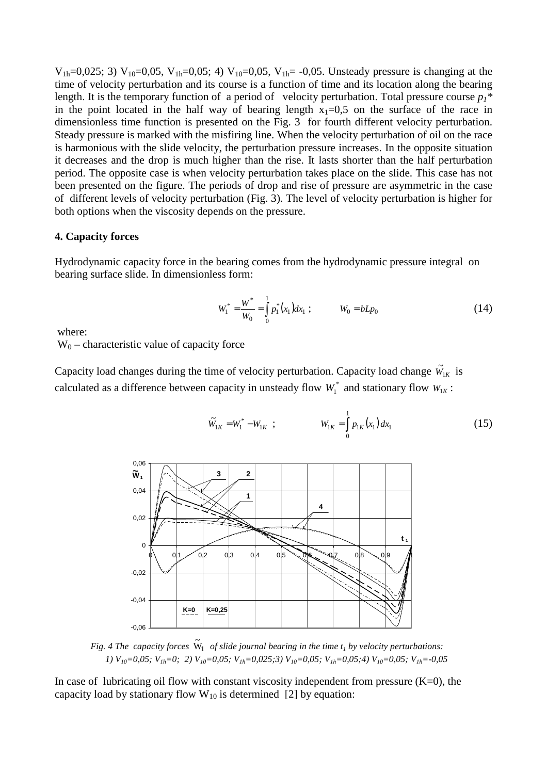$V_{1h}=0.025$ ; 3)  $V_{10}=0.05$ ,  $V_{1h}=0.05$ ; 4)  $V_{10}=0.05$ ,  $V_{1h}=0.05$ . Unsteady pressure is changing at the time of velocity perturbation and its course is a function of time and its location along the bearing length. It is the temporary function of a period of velocity perturbation. Total pressure course  $p_1^*$ in the point located in the half way of bearing length  $x_1=0.5$  on the surface of the race in dimensionless time function is presented on the Fig. 3 for fourth different velocity perturbation. Steady pressure is marked with the misfiring line. When the velocity perturbation of oil on the race is harmonious with the slide velocity, the perturbation pressure increases. In the opposite situation it decreases and the drop is much higher than the rise. It lasts shorter than the half perturbation period. The opposite case is when velocity perturbation takes place on the slide. This case has not been presented on the figure. The periods of drop and rise of pressure are asymmetric in the case of different levels of velocity perturbation (Fig. 3). The level of velocity perturbation is higher for both options when the viscosity depends on the pressure.

### **4. Capacity forces**

Hydrodynamic capacity force in the bearing comes from the hydrodynamic pressure integral on bearing surface slide. In dimensionless form:

$$
W_1^* = \frac{W^*}{W_0} = \int_0^1 p_1^*(x_1) dx_1 ; \qquad W_0 = bLp_0
$$
 (14)

where:

 $W_0$  – characteristic value of capacity force

Capacity load changes during the time of velocity perturbation. Capacity load change  $\tilde{W}_{1K}$  is calculated as a difference between capacity in unsteady flow  $W_1^*$  and stationary flow  $W_{1K}$ :

$$
\widetilde{W}_{1K} = W_1^* - W_{1K} \quad ; \qquad W_{1K} = \int_0^1 p_{1K}(x_1) \, dx_1 \tag{15}
$$



*Fig.* 4 The capacity forces  $\widetilde{W}_1$  of slide journal bearing in the time  $t_1$  by velocity perturbations:  *1) V10=0,05; V1h=0; 2) V10=0,05; V1h=0,025;3) V10=0,05; V1h=0,05;4) V10=0,05; V1h=-0,05* 

In case of lubricating oil flow with constant viscosity independent from pressure  $(K=0)$ , the capacity load by stationary flow  $W_{10}$  is determined [2] by equation: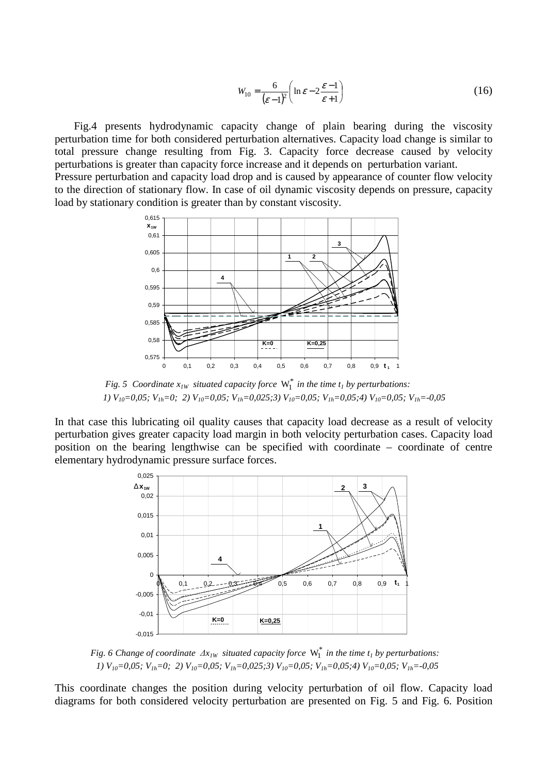$$
W_{10} = \frac{6}{(\varepsilon - 1)^2} \left( \ln \varepsilon - 2 \frac{\varepsilon - 1}{\varepsilon + 1} \right) \tag{16}
$$

 Fig.4 presents hydrodynamic capacity change of plain bearing during the viscosity perturbation time for both considered perturbation alternatives. Capacity load change is similar to total pressure change resulting from Fig. 3. Capacity force decrease caused by velocity perturbations is greater than capacity force increase and it depends on perturbation variant. Pressure perturbation and capacity load drop and is caused by appearance of counter flow velocity to the direction of stationary flow. In case of oil dynamic viscosity depends on pressure, capacity load by stationary condition is greater than by constant viscosity.



*Fig. 5 Coordinate*  $x_{1W}$  *situated capacity force*  $W_1^*$  *in the time t<sub>1</sub> by perturbations: 1) V10=0,05; V1h=0; 2) V10=0,05; V1h=0,025;3) V10=0,05; V1h=0,05;4) V10=0,05; V1h=-0,05* 

In that case this lubricating oil quality causes that capacity load decrease as a result of velocity perturbation gives greater capacity load margin in both velocity perturbation cases. Capacity load position on the bearing lengthwise can be specified with coordinate – coordinate of centre elementary hydrodynamic pressure surface forces.



*Fig. 6 Change of coordinate*  $\Delta x_{IW}$  *situated capacity force*  $W_1^*$  *in the time t<sub>1</sub> by perturbations: 1) V10=0,05; V1h=0; 2) V10=0,05; V1h=0,025;3) V10=0,05; V1h=0,05;4) V10=0,05; V1h=-0,05* 

This coordinate changes the position during velocity perturbation of oil flow. Capacity load diagrams for both considered velocity perturbation are presented on Fig. 5 and Fig. 6. Position